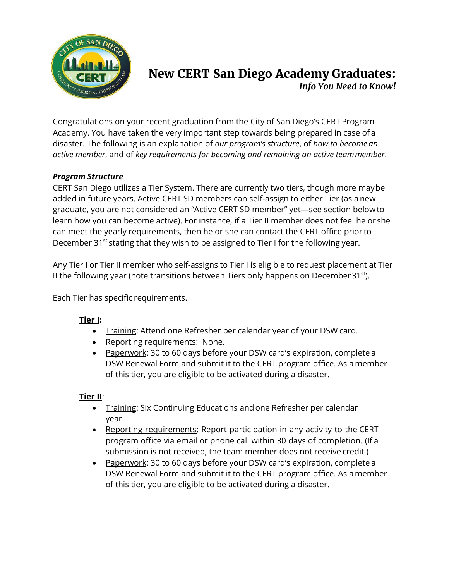

# **New CERT San Diego Academy Graduates:**

*Info You Need to Know!*

Congratulations on your recent graduation from the City of San Diego's CERT Program Academy. You have taken the very important step towards being prepared in case of a disaster. The following is an explanation of *our program's structure*, of *how to become an active member*, and of *key requirements for becoming and remaining an active teammember*.

## *Program Structure*

CERT San Diego utilizes a Tier System. There are currently two tiers, though more maybe added in future years. Active CERT SD members can self-assign to either Tier (as a new graduate, you are not considered an "Active CERT SD member" yet—see section belowto learn how you can become active). For instance, if a Tier II member does not feel he or she can meet the yearly requirements, then he or she can contact the CERT office prior to December 31<sup>st</sup> stating that they wish to be assigned to Tier I for the following year.

Any Tier I or Tier II member who self-assigns to Tier I is eligible to request placement at Tier II the following year (note transitions between Tiers only happens on December  $31^{st}$ ).

Each Tier has specific requirements.

## **Tier I:**

- Training: Attend one Refresher per calendar year of your DSW card.
- Reporting requirements: None.
- Paperwork: 30 to 60 days before your DSW card's expiration, complete a DSW Renewal Form and submit it to the CERT program office. As a member of this tier, you are eligible to be activated during a disaster.

### **Tier II**:

- Training: Six Continuing Educations and one Refresher per calendar year.
- Reporting requirements: Report participation in any activity to the CERT program office via email or phone call within 30 days of completion. (If a submission is not received, the team member does not receive credit.)
- Paperwork: 30 to 60 days before your DSW card's expiration, complete a DSW Renewal Form and submit it to the CERT program office. As amember of this tier, you are eligible to be activated during a disaster.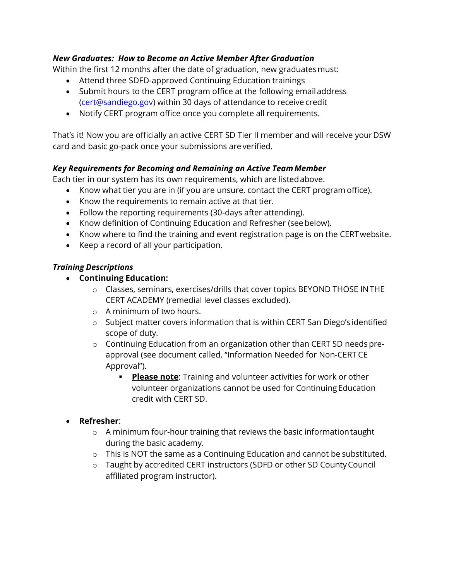### *New Graduates: How to Become an Active Member After Graduation*

Within the first 12 months after the date of graduation, new graduatesmust:

- Attend three SDFD-approved Continuing Education trainings
- Submit hours to the CERT program office at the following email address [\(cert@sandiego.gov\)](mailto:cert@sandiego.gov) within 30 days of attendance to receive credit
- Notify CERT program office once you complete all requirements.

That's it! Now you are officially an active CERT SD Tier II member and will receive yourDSW card and basic go-pack once your submissions are verified.

### *Key Requirements for Becoming and Remaining an Active TeamMember*

Each tier in our system has its own requirements, which are listedabove.

- Know what tier you are in (if you are unsure, contact the CERT program office).
- Know the requirements to remain active at that tier.
- Follow the reporting requirements (30-days after attending).
- Know definition of Continuing Education and Refresher (see below).
- Know where to find the training and event registration page is on the CERT website.
- Keep a record of all your participation.

#### *Training Descriptions*

- **Continuing Education:**
	- o Classes, seminars, exercises/drills that cover topics BEYOND THOSE INTHE CERT ACADEMY (remedial level classes excluded).
	- o A minimum of two hours.
	- o Subject matter covers information that is within CERT San Diego's identified scope of duty.
	- $\circ$  Continuing Education from an organization other than CERT SD needs preapproval (see document called, "Information Needed for Non-CERT CE Approval").
		- **Please note**: Training and volunteer activities for work or other volunteer organizations cannot be used for Continuing Education credit with CERT SD.

### **Refresher**:

- o A minimum four-hour training that reviews the basic informationtaught during the basic academy.
- o This is NOT the same as a Continuing Education and cannot be substituted.
- o Taught by accredited CERT instructors (SDFD or other SD CountyCouncil affiliated program instructor).